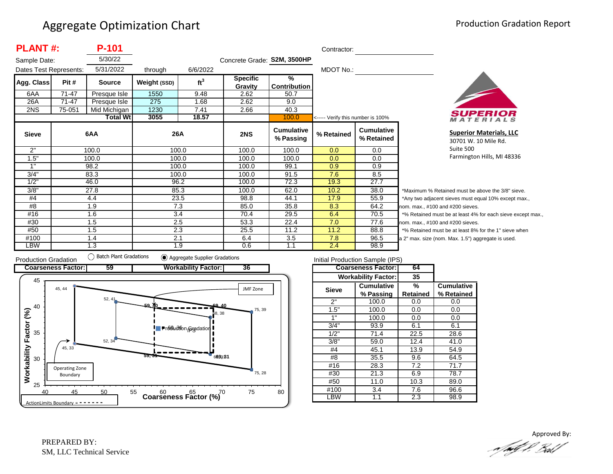| <b>PLANT#:</b>         |        | P-101           |              |                 | Contractor:                 |                                |                                   |                                 |                          |
|------------------------|--------|-----------------|--------------|-----------------|-----------------------------|--------------------------------|-----------------------------------|---------------------------------|--------------------------|
| Sample Date:           |        | 5/30/22         |              |                 | Concrete Grade: S2M, 3500HP |                                |                                   |                                 |                          |
| Dates Test Represents: |        | 5/31/2022       | through      | 6/6/2022        |                             |                                | MDOT No.:                         |                                 |                          |
| Agg. Class             | Pit #  | <b>Source</b>   | Weight (SSD) | ft <sup>3</sup> | <b>Specific</b>             | $\frac{9}{6}$                  |                                   |                                 |                          |
|                        |        |                 |              |                 | Gravity                     | <b>Contribution</b>            |                                   |                                 |                          |
| 6AA                    | 71-47  | Presque Isle    | 1550         | 9.48            | 2.62                        | 50.7                           |                                   |                                 |                          |
| 26A                    | 71-47  | Presque Isle    | 275          | 1.68            | 2.62                        | 9.0                            |                                   |                                 |                          |
| 2NS                    | 75-051 | Mid Michigan    | 1230         | 7.41            | 2.66                        | 40.3                           |                                   |                                 |                          |
|                        |        | <b>Total Wt</b> | 3055         | 18.57           |                             | 100.0                          | <----- Verify this number is 100% |                                 |                          |
| <b>Sieve</b>           |        | 6AA             |              | 26A             | 2NS                         | <b>Cumulative</b><br>% Passing | % Retained                        | <b>Cumulative</b><br>% Retained |                          |
| 2"                     |        | 100.0           |              | 100.0           | 100.0                       | 100.0                          | 0.0                               | 0.0                             |                          |
| 1.5"                   |        | 100.0           |              | 100.0           | 100.0                       | 100.0                          | 0.0                               | 0.0                             |                          |
| 1"                     |        | 98.2            |              | 100.0           | 100.0                       | 99.1                           | 0.9                               | 0.9                             |                          |
| 3/4"                   |        | 83.3            |              | 100.0           | 100.0                       | 91.5                           | 7.6                               | 8.5                             |                          |
| 1/2"                   |        | 46.0            |              | 96.2            | 100.0                       | 72.3                           | 19.3                              | 27.7                            |                          |
| 3/8"                   |        | 27.8            |              | 85.3            | 100.0                       | 62.0                           | 10.2                              | 38.0                            | $\overline{\phantom{a}}$ |
| #4                     |        | 4.4             |              | 23.5            | 98.8                        | 44.1                           | 17.9                              | 55.9                            | $\overline{z}$           |
| #8                     |        | 1.9             |              | 7.3             | 85.0                        | 35.8                           | 8.3                               | 64.2                            | no                       |
| #16                    |        | 1.6             |              | 3.4             | 70.4                        | 29.5                           | 6.4                               | 70.5                            | $\star$                  |
| #30                    |        | 1.5             |              | 2.5             | 53.3                        | 22.4                           | 7.0                               | 77.6                            | no                       |
| #50                    |        | 1.5             |              | 2.3             | 25.5                        | 11.2                           | 11.2                              | 88.8                            | $\star$                  |
| #100                   |        | 1.4             |              | 2.1             | 6.4                         | 3.5                            | 7.8                               | 96.5                            | a 2                      |
| LBW                    |        | 1.3             |              | 1.9             | 0.6                         | 1.1                            | 2.4                               | 98.9                            |                          |



**Superior Materials, LLC** 30701 W. 10 Mile Rd. Suite 500 Farmington Hills, MI 48336

Maximum % Retained must be above the 3/8" sieve. Any two adjacent sieves must equal 10% except max.,  $km.$  max.,  $#100$  and  $#200$  sieves. % Retained must be at least 4% for each sieve except max.,  $km.$  max.,  $#100$  and  $#200$  sieves. % Retained must be at least 8% for the 1" sieve when 2" max. size (nom. Max. 1.5") aggregate is used.



| Initial Production Sample (IPS) |                            |          |                   |  |  |  |  |  |
|---------------------------------|----------------------------|----------|-------------------|--|--|--|--|--|
|                                 | <b>Coarseness Factor:</b>  | 64       |                   |  |  |  |  |  |
|                                 | <b>Workability Factor:</b> | 35       |                   |  |  |  |  |  |
| <b>Sieve</b>                    | <b>Cumulative</b>          | %        | <b>Cumulative</b> |  |  |  |  |  |
|                                 | % Passing                  | Retained | % Retained        |  |  |  |  |  |
| 2"                              | 100.0                      | 0.0      | 0.0               |  |  |  |  |  |
| 1.5"                            | 100.0                      | 0.0      | 0.0               |  |  |  |  |  |
| 1"                              | 100.0                      | 0.0      | 0.0               |  |  |  |  |  |
| 3/4"                            | 93.9                       | 6.1      | 6.1               |  |  |  |  |  |
| 1/2"                            | 71.4                       | 22.5     | 28.6              |  |  |  |  |  |
| 3/8"                            | 59.0                       | 12.4     | 41.0              |  |  |  |  |  |
| #4                              | 45.1                       | 13.9     | 54.9              |  |  |  |  |  |
| #8                              | 35.5                       | 9.6      | 64.5              |  |  |  |  |  |
| #16                             | 28.3                       | 7.2      | 71.7              |  |  |  |  |  |
| #30                             | 21.3                       | 6.9      | 78.7              |  |  |  |  |  |
| #50                             | 11.0                       | 10.3     | 89.0              |  |  |  |  |  |
| #100                            | 3.4                        | 7.6      | 96.6              |  |  |  |  |  |
| ∟BW                             | 1.1                        | 2.3      | 98.9              |  |  |  |  |  |

Approved By:a fødf f. Bolf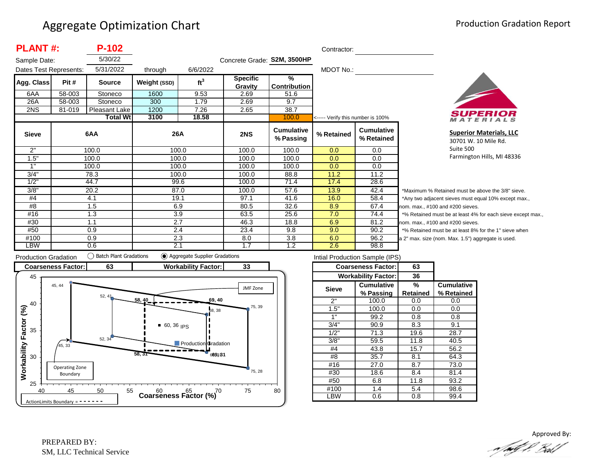| <b>PLANT#:</b>         |        | $P-102$         |              |                 |                             |                                | Contractor:                       |                                 |                  |
|------------------------|--------|-----------------|--------------|-----------------|-----------------------------|--------------------------------|-----------------------------------|---------------------------------|------------------|
| Sample Date:           |        | 5/30/22         |              |                 | Concrete Grade: S2M, 3500HP |                                |                                   |                                 |                  |
| Dates Test Represents: |        | 5/31/2022       | through      | 6/6/2022        |                             |                                | MDOT No.:                         |                                 |                  |
| Agg. Class             | Pit #  | <b>Source</b>   | Weight (SSD) | ft <sup>3</sup> | <b>Specific</b><br>Gravity  | $\frac{9}{6}$<br>Contribution  |                                   |                                 |                  |
| 6AA                    | 58-003 | Stoneco         | 1600         | 9.53            | 2.69                        | 51.6                           |                                   |                                 |                  |
| 26A                    | 58-003 | Stoneco         | 300          | 1.79            | 2.69                        | 9.7                            |                                   |                                 |                  |
| 2NS                    | 81-019 | Pleasant Lake   | 1200         | 7.26            | 2.65                        | 38.7                           |                                   |                                 |                  |
|                        |        | <b>Total Wt</b> | 3100         | 18.58           |                             | 100.0                          | <----- Verify this number is 100% |                                 |                  |
| <b>Sieve</b>           |        | 6AA             | 26A          |                 | 2NS                         | <b>Cumulative</b><br>% Passing | % Retained                        | <b>Cumulative</b><br>% Retained |                  |
| 2"                     |        | 100.0           | 100.0        |                 | 100.0                       | 100.0                          | 0.0                               | $0.0\,$                         |                  |
| 1.5"                   |        | 100.0           | 100.0        |                 | 100.0                       | 100.0                          | 0.0                               | 0.0                             |                  |
| 1"                     |        | 100.0           | 100.0        |                 | 100.0                       | 100.0                          | 0.0                               | 0.0                             |                  |
| 3/4"                   |        | 78.3            | 100.0        |                 | 100.0                       | 88.8                           | 11.2                              | 11.2                            |                  |
| 1/2"                   |        | 44.7            |              | 99.6            | 100.0                       | 71.4                           | 17.4                              | 28.6                            |                  |
| 3/8"                   |        | 20.2            | 87.0         |                 | 100.0                       | 57.6                           | 13.9                              | 42.4                            | *۱               |
| #4                     |        | 4.1             | 19.1         |                 | 97.1                        | 41.6                           | 16.0                              | 58.4                            | */               |
| #8                     |        | 1.5             | 6.9          |                 | 80.5                        | 32.6                           | 8.9                               | 67.4                            | nor              |
| #16                    |        | 1.3             | 3.9          |                 | 63.5                        | 25.6                           | 7.0                               | 74.4                            | $*$ <sup>o</sup> |
| #30                    |        | 1.1             | 2.7          |                 | 46.3                        | 18.8                           | 6.9                               | 81.2                            | nor              |
| #50                    |        | 0.9             | 2.4          |                 | 23.4                        | 9.8                            | 9.0                               | 90.2                            | $*$ <sup>o</sup> |
| #100                   |        | 0.9             | 2.3          |                 | 8.0                         | 3.8                            | 6.0                               | 96.2                            | a <sub>2</sub>   |
| LBW                    |        | 0.6             | 2.1          |                 | 1.7                         | 1.2                            | 2.6                               | 98.8                            |                  |



**Superior Materials, LLC** 30701 W. 10 Mile Rd. Suite 500 Farmington Hills, MI 48336

Maximum % Retained must be above the 3/8" sieve. Any two adjacent sieves must equal 10% except max., m. max., #100 and #200 sieves. % Retained must be at least 4% for each sieve except max., m. max., #100 and #200 sieves. % Retained must be at least 8% for the 1" sieve when <sup>2"</sup> max. size (nom. Max. 1.5") aggregate is used.



|              | <b>Coarseness Factor:</b><br><b>Workability Factor:</b> | 63       |                   |
|--------------|---------------------------------------------------------|----------|-------------------|
|              |                                                         |          |                   |
|              |                                                         | 36       |                   |
| <b>Sieve</b> | <b>Cumulative</b>                                       | %        | <b>Cumulative</b> |
|              | % Passing                                               | Retained | % Retained        |
| 2"           | 100.0                                                   | 0.0      | 0.0               |
| 1.5"         | 100.0                                                   | 0.0      | 0.0               |
| 1"           | 99.2                                                    | 0.8      | 0.8               |
| 3/4"         | 90.9                                                    | 8.3      | 9.1               |
| 1/2"         | 71.3                                                    | 19.6     | 28.7              |
| 3/8"         | 59.5                                                    | 11.8     | 40.5              |
| #4           | 43.8                                                    | 15.7     | 56.2              |
| #8           | 35.7                                                    | 8.1      | 64.3              |
| #16          | 27.0                                                    | 8.7      | 73.0              |
| #30          | 18.6                                                    | 8.4      | 81.4              |
| #50          | 6.8                                                     | 11.8     | 93.2              |
| #100         | 1.4                                                     | 5.4      | 98.6              |
| <b>BW</b>    | 0.6                                                     | 0.8      | 99.4              |

Approved By:<br>Approved By: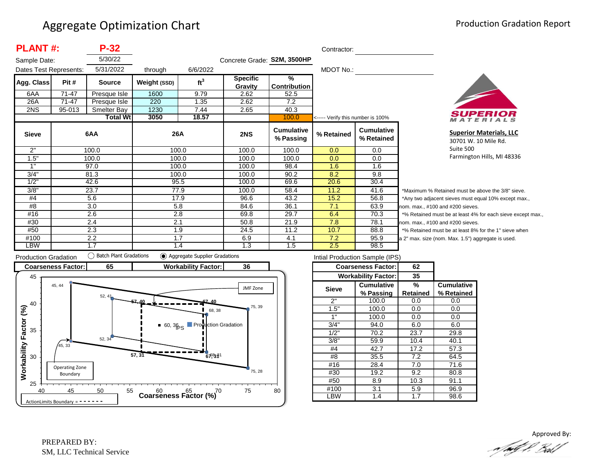| <b>PLANT#:</b>         |        | $P-32$           |              |                 |                             |                                      | Contractor:                       |                                 |                   |
|------------------------|--------|------------------|--------------|-----------------|-----------------------------|--------------------------------------|-----------------------------------|---------------------------------|-------------------|
| Sample Date:           |        | 5/30/22          |              |                 | Concrete Grade: S2M, 3500HP |                                      |                                   |                                 |                   |
| Dates Test Represents: |        | 5/31/2022        | through      | 6/6/2022        |                             |                                      | MDOT No.:                         |                                 |                   |
| Agg. Class             | Pit #  | <b>Source</b>    | Weight (SSD) | ft <sup>3</sup> | <b>Specific</b><br>Gravity  | $\frac{9}{6}$<br><b>Contribution</b> |                                   |                                 |                   |
| 6AA                    | 71-47  | Presque Isle     | 1600         | 9.79            | 2.62                        | 52.5                                 |                                   |                                 |                   |
| 26A                    | 71-47  | Presque Isle     | 220          | 1.35            | 2.62                        | 7.2                                  |                                   |                                 |                   |
| 2NS                    | 95-013 | Smelter Bay      | 1230         | 7.44            | 2.65                        | 40.3                                 |                                   |                                 |                   |
|                        |        | <b>Total Wtl</b> | 3050         | 18.57           |                             | 100.0                                | <----- Verify this number is 100% |                                 |                   |
| <b>Sieve</b>           |        | 6AA              | 26A          |                 | 2NS                         | Cumulative<br>% Passing              | % Retained                        | <b>Cumulative</b><br>% Retained |                   |
| 2"                     |        | 100.0            |              | 100.0           | 100.0                       | 100.0                                | 0.0                               | 0.0                             |                   |
| 1.5"                   |        | 100.0            | 100.0        |                 | 100.0                       | 100.0                                | 0.0                               | 0.0                             |                   |
| 1"                     |        | 97.0             | 100.0        |                 | 100.0                       | 98.4                                 | 1.6                               | 1.6                             |                   |
| 3/4"                   |        | 81.3             |              | 100.0           | 100.0                       | 90.2                                 | 8.2                               | 9.8                             |                   |
| 1/2"                   |        | 42.6             | 95.5         |                 | 100.0                       | 69.6                                 | 20.6                              | 30.4                            |                   |
| 3/8"                   |        | 23.7             | 77.9         |                 | 100.0                       | 58.4                                 | 11.2                              | 41.6                            | *N                |
| #4                     |        | 5.6              | 17.9         |                 | 96.6                        | 43.2                                 | 15.2                              | 56.8                            | $^*A$             |
| #8                     |        | 3.0              | 5.8          |                 | 84.6                        | 36.1                                 | 7.1                               | 63.9                            | non               |
| #16                    |        | 2.6              | 2.8          |                 | 69.8                        | 29.7                                 | 6.4                               | 70.3                            | $*_{\frac{0}{2}}$ |
| #30                    |        | 2.4              | 2.1          |                 | 50.8                        | 21.9                                 | 7.8                               | 78.1                            | non               |
| #50                    |        | 2.3              | 1.9          |                 | 24.5                        | 11.2                                 | 10.7                              | 88.8                            | $*_{\frac{0}{2}}$ |
| #100                   |        | 2.2              | 1.7          |                 | 6.9                         | 4.1                                  | 7.2                               | 95.9                            | a 2'              |
| LBW                    |        | 1.7              |              | 1.4             | 1.3                         | 1.5                                  | 2.5                               | 98.5                            |                   |



**Superior Materials, LLC** 30701 W. 10 Mile Rd. Suite 500 Farmington Hills, MI 48336

laximum % Retained must be above the 3/8" sieve. ny two adjacent sieves must equal 10% except max., m. max., #100 and #200 sieves. 6 Retained must be at least 4% for each sieve except max., m. max., #100 and #200 sieves. 6 Retained must be at least 8% for the 1" sieve when max. size (nom. Max. 1.5") aggregate is used.



| Intial Production Sample (IPS) |                            |          |                   |  |  |  |  |  |
|--------------------------------|----------------------------|----------|-------------------|--|--|--|--|--|
|                                | <b>Coarseness Factor:</b>  | 62       |                   |  |  |  |  |  |
|                                | <b>Workability Factor:</b> | 35       |                   |  |  |  |  |  |
| <b>Sieve</b>                   | <b>Cumulative</b>          | %        | <b>Cumulative</b> |  |  |  |  |  |
|                                | % Passing                  | Retained | % Retained        |  |  |  |  |  |
| ን"                             | 100.0                      | 0.0      | 0.0               |  |  |  |  |  |
| 1.5"                           | 100.0                      | 0.0      | 0.0               |  |  |  |  |  |
| 1"                             | 100.0                      | 0.0      | 0.0               |  |  |  |  |  |
| 3/4"                           | 94.0                       | 6.0      | 6.0               |  |  |  |  |  |
| 1/2"                           | 70.2                       | 23.7     | 29.8              |  |  |  |  |  |
| 3/8"                           | 59.9                       | 10.4     | 40.1              |  |  |  |  |  |
| #4                             | 42.7                       | 17.2     | 57.3              |  |  |  |  |  |
| #8                             | 35.5                       | 7.2      | 64.5              |  |  |  |  |  |
| #16                            | 28.4                       | 7.0      | 71.6              |  |  |  |  |  |
| #30                            | 19.2                       | 9.2      | 80.8              |  |  |  |  |  |
| #50                            | 8.9                        | 10.3     | 91.1              |  |  |  |  |  |
| #100                           | 3.1                        | 5.9      | 96.9              |  |  |  |  |  |
| LBW                            | 1.4                        | 1.7      | 98.6              |  |  |  |  |  |
|                                |                            |          |                   |  |  |  |  |  |

Approved By:<br>Approved By: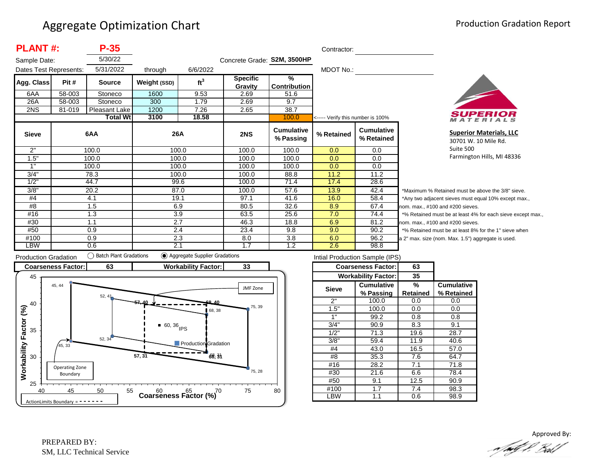| <b>PLANT#:</b>         |        | $P-35$                            |              |                 |                             |                                | Contractor:                       |                                 |         |
|------------------------|--------|-----------------------------------|--------------|-----------------|-----------------------------|--------------------------------|-----------------------------------|---------------------------------|---------|
| Sample Date:           |        | 5/30/22                           |              |                 | Concrete Grade: S2M, 3500HP |                                |                                   |                                 |         |
| Dates Test Represents: |        | 5/31/2022                         | through      | 6/6/2022        |                             |                                | MDOT No.:                         |                                 |         |
| Agg. Class             | Pit #  | <b>Source</b>                     | Weight (SSD) | ft <sup>3</sup> | <b>Specific</b>             | $\frac{9}{6}$                  |                                   |                                 |         |
| 6AA                    | 58-003 | Stoneco                           | 1600         | 9.53            | Gravity<br>2.69             | <b>Contribution</b><br>51.6    |                                   |                                 |         |
|                        | 58-003 |                                   |              |                 |                             | 9.7                            |                                   |                                 |         |
| 26A<br>2NS             |        | Stoneco                           | 300          | 1.79            | 2.69                        | 38.7                           |                                   |                                 |         |
|                        | 81-019 | Pleasant Lake<br><b>Total Wtl</b> | 1200<br>3100 | 7.26<br>18.58   | 2.65                        |                                |                                   |                                 |         |
|                        |        |                                   |              |                 |                             | 100.0                          | <----- Verify this number is 100% |                                 |         |
| <b>Sieve</b>           |        | 6AA                               | 26A          |                 | 2NS                         | <b>Cumulative</b><br>% Passing | % Retained                        | <b>Cumulative</b><br>% Retained |         |
| 2"                     |        | 100.0                             |              | 100.0           | 100.0                       | 100.0                          | 0.0                               | 0.0                             |         |
| 1.5"                   |        | 100.0                             |              | 100.0           | 100.0                       | 100.0                          | 0.0                               | 0.0                             |         |
| 1"                     |        | 100.0                             |              | 100.0           | 100.0                       | 100.0                          | 0.0                               | 0.0                             |         |
| 3/4"                   |        | 78.3                              |              | 100.0           | 100.0                       | 88.8                           | 11.2                              | 11.2                            |         |
| 1/2"                   |        | 44.7                              | 99.6         |                 | 100.0                       | 71.4                           | 17.4                              | 28.6                            |         |
| 3/8"                   |        | 20.2                              | 87.0         |                 | 100.0                       | 57.6                           | 13.9                              | 42.4                            | $*_{N}$ |
| #4                     |        | 4.1                               | 19.1         |                 | 97.1                        | 41.6                           | 16.0                              | 58.4                            | $^*A$   |
| #8                     |        | 1.5                               | 6.9          |                 | 80.5                        | 32.6                           | 8.9                               | 67.4                            | non     |
| #16                    |        | 1.3                               | 3.9          |                 | 63.5                        | 25.6                           | 7.0                               | 74.4                            | $*$ %   |
| #30                    |        | 1.1                               | 2.7          |                 | 46.3                        | 18.8                           | 6.9                               | 81.2                            | non     |
| #50                    |        | 0.9                               | 2.4          |                 | 23.4                        | 9.8                            | 9.0                               | 90.2                            | $*$ %   |
| #100                   |        | 0.9                               | 2.3          |                 | 8.0                         | 3.8                            | 6.0                               | 96.2                            | a 2'    |
| LBW                    |        | 0.6                               | 2.1          |                 | 1.7                         | 1.2                            | 2.6                               | 98.8                            |         |



**Superior Materials, LLC** 30701 W. 10 Mile Rd. Suite 500 Farmington Hills, MI 48336

laximum % Retained must be above the 3/8" sieve. ny two adjacent sieves must equal 10% except max., m. max., #100 and #200 sieves. 6 Retained must be at least 4% for each sieve except max., m. max., #100 and #200 sieves. 6 Retained must be at least 8% for the 1" sieve when max. size (nom. Max. 1.5") aggregate is used.



| Intial Production Sample (IPS) |                            |                 |                   |  |  |  |  |  |
|--------------------------------|----------------------------|-----------------|-------------------|--|--|--|--|--|
|                                | <b>Coarseness Factor:</b>  | 63              |                   |  |  |  |  |  |
|                                | <b>Workability Factor:</b> | 35              |                   |  |  |  |  |  |
| Sieve                          | <b>Cumulative</b>          | %               | <b>Cumulative</b> |  |  |  |  |  |
|                                | % Passing                  | <b>Retained</b> | % Retained        |  |  |  |  |  |
| 2"                             | 100.0                      | 0.0             | 0.0               |  |  |  |  |  |
| 1.5"                           | 100.0                      | 0.0             | 0.0               |  |  |  |  |  |
| 1"                             | 99.2                       | 0.8             | 0.8               |  |  |  |  |  |
| 3/4"                           | 90.9                       | 8.3             | 9.1               |  |  |  |  |  |
| 1/2"                           | 71.3                       | 19.6            | 28.7              |  |  |  |  |  |
| 3/8"                           | 59.4                       | 11.9            | 40.6              |  |  |  |  |  |
| #4                             | 43.0                       | 16.5            | 57.0              |  |  |  |  |  |
| #8                             | 35.3                       | 7.6             | 64.7              |  |  |  |  |  |
| #16                            | 28.2                       | 7.1             | 71.8              |  |  |  |  |  |
| #30                            | 21.6                       | 6.6             | 78.4              |  |  |  |  |  |
| #50                            | 9.1                        | 12.5            | 90.9              |  |  |  |  |  |
| #100                           | 1.7                        | 7.4             | 98.3              |  |  |  |  |  |
| _BW                            | 1.1                        | 0.6             | 98.9              |  |  |  |  |  |

Approved By:<br>Approved By: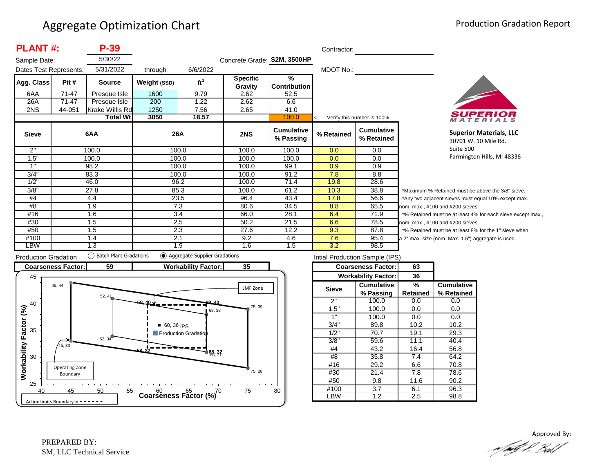| <b>PLANT#:</b>         |           | P-39            |              |                 |                             |                                | Contractor:                       |                                 |       |
|------------------------|-----------|-----------------|--------------|-----------------|-----------------------------|--------------------------------|-----------------------------------|---------------------------------|-------|
| Sample Date:           |           | 5/30/22         |              |                 | Concrete Grade: S2M, 3500HP |                                |                                   |                                 |       |
| Dates Test Represents: |           | 5/31/2022       | through      | 6/6/2022        |                             |                                | MDOT No.:                         |                                 |       |
| Agg. Class             | Pit #     | <b>Source</b>   | Weight (SSD) | ft <sup>3</sup> | <b>Specific</b><br>Gravity  | $\frac{9}{6}$<br>Contribution  |                                   |                                 |       |
| 6AA                    | $71 - 47$ | Presque Isle    | 1600         | 9.79            | 2.62                        | 52.5                           |                                   |                                 |       |
| 26A                    | 71-47     | Presque Isle    | 200          | 1.22            | 2.62                        | 6.6                            |                                   |                                 |       |
| 2NS                    | 44-051    | Krake Willis Rd | 1250         | 7.56            | 2.65                        | 41.0                           |                                   |                                 |       |
|                        |           | <b>Total Wt</b> | 3050         | 18.57           |                             | 100.0                          | <----- Verify this number is 100% |                                 |       |
| <b>Sieve</b>           |           | 6AA             | 26A          |                 | 2NS                         | <b>Cumulative</b><br>% Passing | % Retained                        | <b>Cumulative</b><br>% Retained |       |
| 2"                     |           | 100.0           | 100.0        |                 | 100.0                       | 100.0                          | 0.0                               | 0.0                             |       |
| 1.5"                   |           | 100.0           | 100.0        |                 | 100.0                       | 100.0                          | 0.0                               | 0.0                             |       |
| 1"                     |           | 98.2            | 100.0        |                 | 100.0                       | 99.1                           | 0.9                               | 0.9                             |       |
| 3/4"                   |           | 83.3            | 100.0        |                 | 100.0                       | 91.2                           | 7.8                               | 8.8                             |       |
| 1/2"                   |           | 46.0            | 96.2         |                 | 100.0                       | 71.4                           | 19.8                              | 28.6                            |       |
| 3/8"                   |           | 27.8            | 85.3         |                 | 100.0                       | 61.2                           | 10.3                              | 38.8                            | *M    |
| #4                     |           | 4.4             | 23.5         |                 | 96.4                        | 43.4                           | 17.8                              | 56.6                            | *A    |
| #8                     |           | 1.9             | 7.3          |                 | 80.6                        | 34.5                           | 8.8                               | 65.5                            | nom   |
| #16                    |           | 1.6             | 3.4          |                 | 66.0                        | 28.1                           | 6.4                               | 71.9                            | $*$ % |
| #30                    |           | 1.5             | 2.5          |                 | 50.2                        | 21.5                           | 6.6                               | 78.5                            | nom   |
| #50                    |           | 1.5             | 2.3          |                 | 27.6                        | 12.2                           | 9.3                               | 87.8                            | $*$ % |
| #100                   |           | 1.4             | 2.1          |                 | 9.2                         | 4.6                            | 7.6                               | 95.4                            | a 2"  |
| LBW                    |           | 1.3             | 1.9          |                 | 1.6                         | 1.5                            | 3.2                               | 98.5                            |       |



**Superior Materials, LLC** 30701 W. 10 Mile Rd. Suite 500 Farmington Hills, MI 48336

laximum % Retained must be above the 3/8" sieve. ny two adjacent sieves must equal 10% except max.,  $n.$  max.,  $#100$  and  $#200$  sieves. Retained must be at least 4% for each sieve except max., 1. max., #100 and #200 sieves. Retained must be at least 8% for the 1" sieve when max. size (nom. Max. 1.5") aggregate is used.



| Intial Production Sample (IPS) |                            |          |                   |  |  |  |  |  |
|--------------------------------|----------------------------|----------|-------------------|--|--|--|--|--|
|                                | <b>Coarseness Factor:</b>  | 63       |                   |  |  |  |  |  |
|                                | <b>Workability Factor:</b> | 36       |                   |  |  |  |  |  |
| <b>Sieve</b>                   | <b>Cumulative</b>          | %        | <b>Cumulative</b> |  |  |  |  |  |
|                                | % Passing                  | Retained | % Retained        |  |  |  |  |  |
| 2"                             | 100.0                      | 0.0      | 0.0               |  |  |  |  |  |
| 1.5"                           | 100.0                      | 0.0      | 0.0               |  |  |  |  |  |
| 1"                             | 100.0                      | 0.0      | 0.0               |  |  |  |  |  |
| 3/4"                           | 89.8                       | 10.2     | 10.2              |  |  |  |  |  |
| 1/2"                           | 70.7                       | 19.1     | 29.3              |  |  |  |  |  |
| 3/8"                           | 59.6                       | 11.1     | 40.4              |  |  |  |  |  |
| #4                             | 43.2                       | 16.4     | 56.8              |  |  |  |  |  |
| #8                             | 35.8                       | 7.4      | 64.2              |  |  |  |  |  |
| #16                            | 29.2                       | 6.6      | 70.8              |  |  |  |  |  |
| #30                            | 21.4                       | 7.8      | 78.6              |  |  |  |  |  |
| #50                            | 9.8                        | 11.6     | 90.2              |  |  |  |  |  |
| #100                           | 3.7                        | 6.1      | 96.3              |  |  |  |  |  |
| .BW                            | 1.2                        | 2.5      | 98.8              |  |  |  |  |  |

Approved By:<br>Approved By: